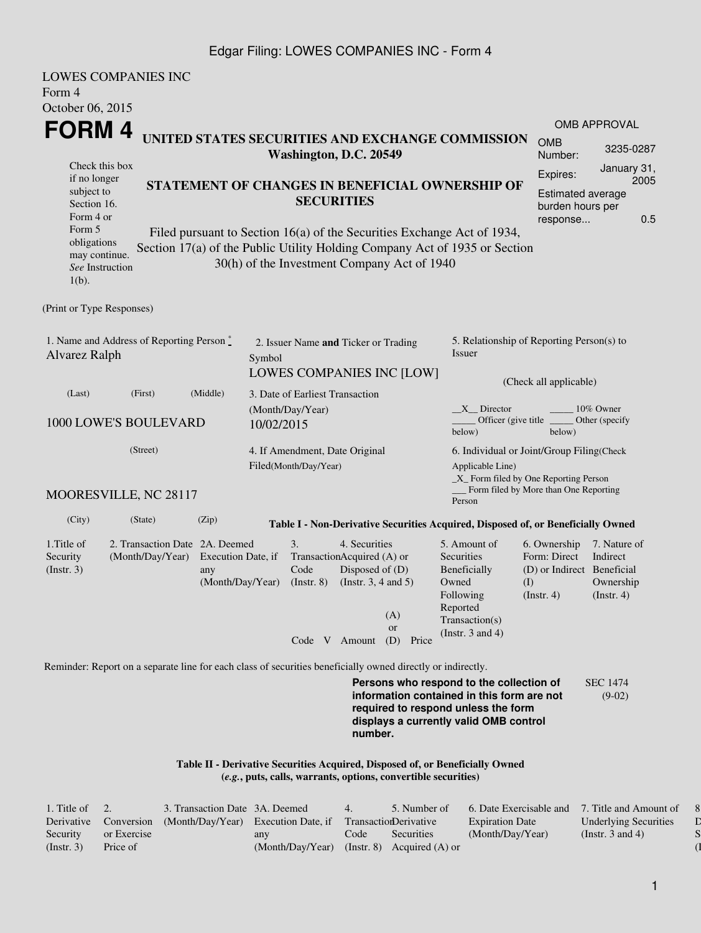#### Edgar Filing: LOWES COMPANIES INC - Form 4

| Form 4<br>October 06, 2015                                                                                                                        | <b>LOWES COMPANIES INC</b>                                                                                  |                                                                                                                            |                                |                                                                                                                                                    |                                                                                                             |                                                                                         |                                                                                                                                                                         |                                                                                         |                                                           |  |  |
|---------------------------------------------------------------------------------------------------------------------------------------------------|-------------------------------------------------------------------------------------------------------------|----------------------------------------------------------------------------------------------------------------------------|--------------------------------|----------------------------------------------------------------------------------------------------------------------------------------------------|-------------------------------------------------------------------------------------------------------------|-----------------------------------------------------------------------------------------|-------------------------------------------------------------------------------------------------------------------------------------------------------------------------|-----------------------------------------------------------------------------------------|-----------------------------------------------------------|--|--|
|                                                                                                                                                   |                                                                                                             |                                                                                                                            |                                |                                                                                                                                                    |                                                                                                             |                                                                                         |                                                                                                                                                                         |                                                                                         | <b>OMB APPROVAL</b>                                       |  |  |
| FORM 4                                                                                                                                            | UNITED STATES SECURITIES AND EXCHANGE COMMISSION                                                            |                                                                                                                            |                                | Washington, D.C. 20549                                                                                                                             | <b>OMB</b><br>Number:                                                                                       | 3235-0287                                                                               |                                                                                                                                                                         |                                                                                         |                                                           |  |  |
| Check this box<br>if no longer<br>subject to<br>Section 16.<br>Form 4 or<br>Form 5<br>obligations<br>may continue.<br>See Instruction<br>$1(b)$ . | Section 17(a) of the Public Utility Holding Company Act of 1935 or Section                                  | STATEMENT OF CHANGES IN BENEFICIAL OWNERSHIP OF<br>Filed pursuant to Section 16(a) of the Securities Exchange Act of 1934, |                                | <b>SECURITIES</b><br>30(h) of the Investment Company Act of 1940                                                                                   | Expires:<br>Estimated average<br>burden hours per<br>response                                               | January 31,<br>2005<br>0.5                                                              |                                                                                                                                                                         |                                                                                         |                                                           |  |  |
| (Print or Type Responses)                                                                                                                         |                                                                                                             |                                                                                                                            |                                |                                                                                                                                                    |                                                                                                             |                                                                                         |                                                                                                                                                                         |                                                                                         |                                                           |  |  |
| 1. Name and Address of Reporting Person $\stackrel{*}{\mathbb{L}}$<br>Alvarez Ralph                                                               |                                                                                                             |                                                                                                                            | Symbol                         | 2. Issuer Name and Ticker or Trading                                                                                                               |                                                                                                             | <b>LOWES COMPANIES INC [LOW]</b>                                                        | 5. Relationship of Reporting Person(s) to<br><b>Issuer</b><br>(Check all applicable)                                                                                    |                                                                                         |                                                           |  |  |
| (Last)                                                                                                                                            | (First)<br>(Middle)                                                                                         |                                                                                                                            |                                | 3. Date of Earliest Transaction                                                                                                                    |                                                                                                             |                                                                                         |                                                                                                                                                                         |                                                                                         |                                                           |  |  |
| 1000 LOWE'S BOULEVARD                                                                                                                             |                                                                                                             |                                                                                                                            | (Month/Day/Year)<br>10/02/2015 |                                                                                                                                                    |                                                                                                             | $X$ Director<br>10% Owner<br>Officer (give title)<br>Other (specify<br>below)<br>below) |                                                                                                                                                                         |                                                                                         |                                                           |  |  |
|                                                                                                                                                   | 4. If Amendment, Date Original<br>Filed(Month/Day/Year)                                                     |                                                                                                                            |                                | 6. Individual or Joint/Group Filing(Check<br>Applicable Line)<br>$\_X$ Form filed by One Reporting Person<br>Form filed by More than One Reporting |                                                                                                             |                                                                                         |                                                                                                                                                                         |                                                                                         |                                                           |  |  |
|                                                                                                                                                   | MOORESVILLE, NC 28117                                                                                       |                                                                                                                            |                                |                                                                                                                                                    |                                                                                                             |                                                                                         | Person                                                                                                                                                                  |                                                                                         |                                                           |  |  |
| (City)                                                                                                                                            | (State)                                                                                                     | (Zip)                                                                                                                      |                                |                                                                                                                                                    |                                                                                                             |                                                                                         | Table I - Non-Derivative Securities Acquired, Disposed of, or Beneficially Owned                                                                                        |                                                                                         |                                                           |  |  |
| 1. Title of<br>Security<br>(Insert. 3)                                                                                                            | 2. Transaction Date 2A. Deemed<br>(Month/Day/Year)                                                          | Execution Date, if<br>any<br>(Month/Day/Year)                                                                              |                                | 3.<br>Code<br>$($ Instr. $8)$                                                                                                                      | 4. Securities<br>TransactionAcquired (A) or<br>Disposed of (D)<br>(Instr. $3, 4$ and $5$ )<br>Code V Amount | (A)<br>or<br>(D)<br>Price                                                               | 5. Amount of<br>Securities<br>Beneficially<br>Owned<br>Following<br>Reported<br>Transaction(s)<br>(Instr. $3$ and $4$ )                                                 | 6. Ownership<br>Form: Direct<br>(D) or Indirect Beneficial<br>$($ I<br>$($ Instr. 4 $)$ | 7. Nature of<br>Indirect<br>Ownership<br>$($ Instr. 4 $)$ |  |  |
|                                                                                                                                                   |                                                                                                             |                                                                                                                            |                                |                                                                                                                                                    |                                                                                                             |                                                                                         |                                                                                                                                                                         |                                                                                         |                                                           |  |  |
|                                                                                                                                                   | Reminder: Report on a separate line for each class of securities beneficially owned directly or indirectly. |                                                                                                                            |                                |                                                                                                                                                    | number.                                                                                                     |                                                                                         | Persons who respond to the collection of<br>information contained in this form are not<br>required to respond unless the form<br>displays a currently valid OMB control |                                                                                         | <b>SEC 1474</b><br>$(9-02)$                               |  |  |
|                                                                                                                                                   |                                                                                                             |                                                                                                                            |                                |                                                                                                                                                    |                                                                                                             | (e.g., puts, calls, warrants, options, convertible securities)                          | Table II - Derivative Securities Acquired, Disposed of, or Beneficially Owned                                                                                           |                                                                                         |                                                           |  |  |

| 1. Title of | 2.          | 3. Transaction Date 3A. Deemed                            |                                               | 4.   | 5. Number of      | 6. Date Exercisable and 7. Title and Amount of |                              |
|-------------|-------------|-----------------------------------------------------------|-----------------------------------------------|------|-------------------|------------------------------------------------|------------------------------|
| Derivative  | Conversion  | (Month/Day/Year) Execution Date, if TransactionDerivative |                                               |      |                   | <b>Expiration Date</b>                         | <b>Underlying Securities</b> |
| Security    | or Exercise |                                                           | any                                           | Code | <b>Securities</b> | (Month/Day/Year)                               | (Instr. 3 and 4)             |
| (Insert, 3) | Price of    |                                                           | $(Month/Day/Year)$ (Instr. 8) Acquired (A) or |      |                   |                                                |                              |

8. Price of  $\mathbf D$  $\mathbf S$  $\overline{\mathbf 1}$